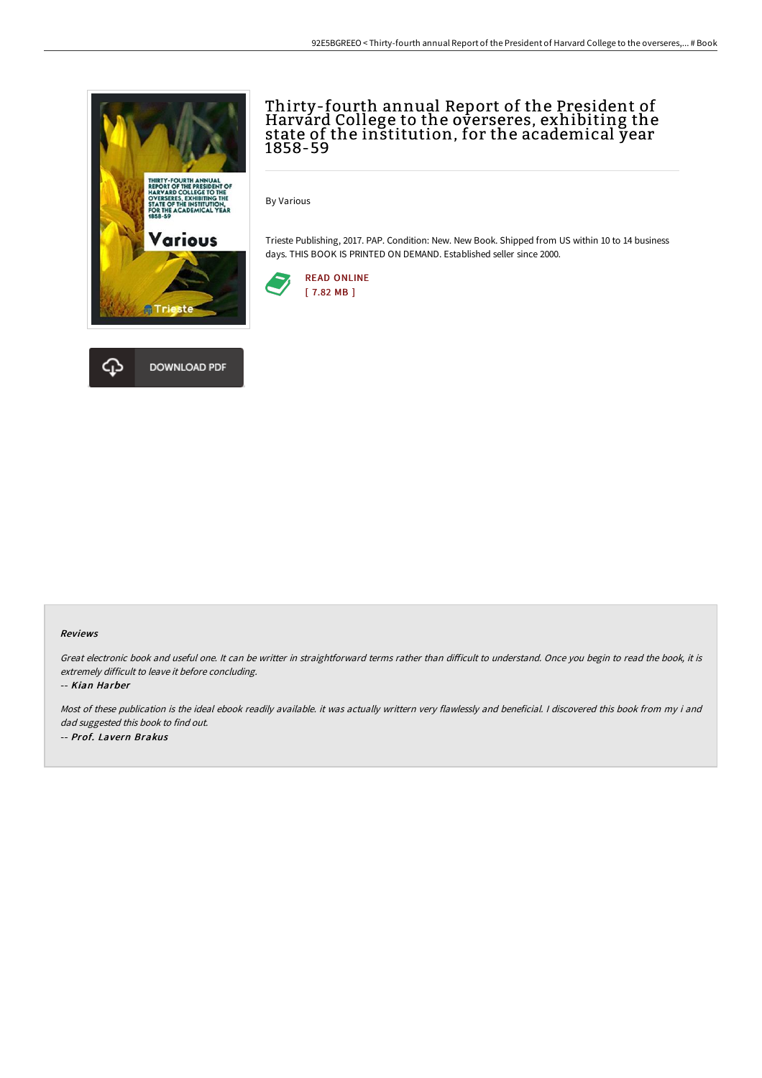

## Thirty-fourth annual Report of the President of Harvard College to the overseres, exhibiting the state of the institution, for the academical year 1858-59

By Various

Trieste Publishing, 2017. PAP. Condition: New. New Book. Shipped from US within 10 to 14 business days. THIS BOOK IS PRINTED ON DEMAND. Established seller since 2000.





#### Reviews

Great electronic book and useful one. It can be writter in straightforward terms rather than difficult to understand. Once you begin to read the book, it is extremely difficult to leave it before concluding.

-- Kian Harber

Most of these publication is the ideal ebook readily available. it was actually writtern very flawlessly and beneficial. I discovered this book from my i and dad suggested this book to find out. -- Prof. Lavern Brakus